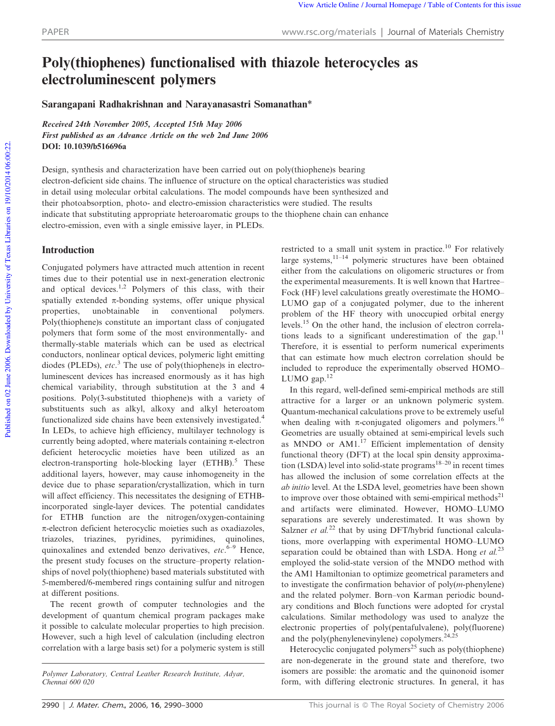# Poly(thiophenes) functionalised with thiazole heterocycles as electroluminescent polymers

Sarangapani Radhakrishnan and Narayanasastri Somanathan\*

Received 24th November 2005, Accepted 15th May 2006 First published as an Advance Article on the web 2nd June 2006 DOI: 10.1039/b516696a

Design, synthesis and characterization have been carried out on poly(thiophene)s bearing electron-deficient side chains. The influence of structure on the optical characteristics was studied in detail using molecular orbital calculations. The model compounds have been synthesized and their photoabsorption, photo- and electro-emission characteristics were studied. The results indicate that substituting appropriate heteroaromatic groups to the thiophene chain can enhance electro-emission, even with a single emissive layer, in PLEDs.

## Introduction

Conjugated polymers have attracted much attention in recent times due to their potential use in next-generation electronic and optical devices.<sup>1,2</sup> Polymers of this class, with their spatially extended  $\pi$ -bonding systems, offer unique physical properties, unobtainable in conventional polymers. Poly(thiophene)s constitute an important class of conjugated polymers that form some of the most environmentally- and thermally-stable materials which can be used as electrical conductors, nonlinear optical devices, polymeric light emitting diodes (PLEDs), *etc*. <sup>3</sup> The use of poly(thiophene)s in electroluminescent devices has increased enormously as it has high chemical variability, through substitution at the 3 and 4 positions. Poly(3-substituted thiophene)s with a variety of substituents such as alkyl, alkoxy and alkyl heteroatom functionalized side chains have been extensively investigated.<sup>4</sup> In LEDs, to achieve high efficiency, multilayer technology is currently being adopted, where materials containing  $\pi$ -electron deficient heterocyclic moieties have been utilized as an electron-transporting hole-blocking layer  $(ETHB)$ .<sup>5</sup> These additional layers, however, may cause inhomogeneity in the device due to phase separation/crystallization, which in turn will affect efficiency. This necessitates the designing of ETHBincorporated single-layer devices. The potential candidates for ETHB function are the nitrogen/oxygen-containing  $\pi$ -electron deficient heterocyclic moieties such as oxadiazoles, triazoles, triazines, pyridines, pyrimidines, quinolines, quinoxalines and extended benzo derivatives, *etc*. 6–9 Hence, the present study focuses on the structure–property relationships of novel poly(thiophene) based materials substituted with 5-membered/6-membered rings containing sulfur and nitrogen at different positions.

The recent growth of computer technologies and the development of quantum chemical program packages make it possible to calculate molecular properties to high precision. However, such a high level of calculation (including electron correlation with a large basis set) for a polymeric system is still

restricted to a small unit system in practice.<sup>10</sup> For relatively large systems,<sup>11–14</sup> polymeric structures have been obtained either from the calculations on oligomeric structures or from the experimental measurements. It is well known that Hartree– Fock (HF) level calculations greatly overestimate the HOMO– LUMO gap of a conjugated polymer, due to the inherent problem of the HF theory with unoccupied orbital energy levels.<sup>15</sup> On the other hand, the inclusion of electron correlations leads to a significant underestimation of the gap. $11$ Therefore, it is essential to perform numerical experiments that can estimate how much electron correlation should be included to reproduce the experimentally observed HOMO– LUMO gap.<sup>12</sup>

In this regard, well-defined semi-empirical methods are still attractive for a larger or an unknown polymeric system. Quantum-mechanical calculations prove to be extremely useful when dealing with  $\pi$ -conjugated oligomers and polymers.<sup>16</sup> Geometries are usually obtained at semi-empirical levels such as MNDO or AM1.<sup>17</sup> Efficient implementation of density functional theory (DFT) at the local spin density approximation (LSDA) level into solid-state programs<sup>18–20</sup> in recent times has allowed the inclusion of some correlation effects at the *ab initio* level. At the LSDA level, geometries have been shown to improve over those obtained with semi-empirical methods<sup>21</sup> and artifacts were eliminated. However, HOMO–LUMO separations are severely underestimated. It was shown by Salzner *et al.*<sup>22</sup> that by using DFT/hybrid functional calculations, more overlapping with experimental HOMO–LUMO separation could be obtained than with LSDA. Hong *et al.*<sup>23</sup> employed the solid-state version of the MNDO method with the AM1 Hamiltonian to optimize geometrical parameters and to investigate the confirmation behavior of poly(*m*-phenylene) and the related polymer. Born–von Karman periodic boundary conditions and Bloch functions were adopted for crystal calculations. Similar methodology was used to analyze the electronic properties of poly(pentafulvalene), poly(fluorene) and the poly(phenylenevinylene) copolymers.<sup>24,25</sup>

Heterocyclic conjugated polymers<sup>25</sup> such as poly(thiophene) are non-degenerate in the ground state and therefore, two isomers are possible: the aromatic and the quinonoid isomer form, with differing electronic structures. In general, it has

*Polymer Laboratory, Central Leather Research Institute, Adyar, Chennai 600 020*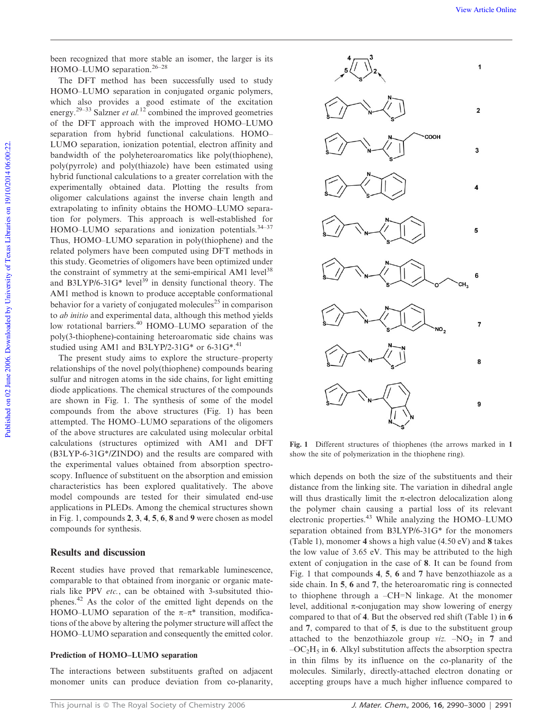been recognized that more stable an isomer, the larger is its HOMO–LUMO separation.26–28

The DFT method has been successfully used to study HOMO–LUMO separation in conjugated organic polymers, which also provides a good estimate of the excitation energy.<sup>29–33</sup> Salzner *et al.*<sup>12</sup> combined the improved geometries of the DFT approach with the improved HOMO–LUMO separation from hybrid functional calculations. HOMO– LUMO separation, ionization potential, electron affinity and bandwidth of the polyheteroaromatics like poly(thiophene), poly(pyrrole) and poly(thiazole) have been estimated using hybrid functional calculations to a greater correlation with the experimentally obtained data. Plotting the results from oligomer calculations against the inverse chain length and extrapolating to infinity obtains the HOMO–LUMO separation for polymers. This approach is well-established for HOMO–LUMO separations and ionization potentials.<sup>34-37</sup> Thus, HOMO–LUMO separation in poly(thiophene) and the related polymers have been computed using DFT methods in this study. Geometries of oligomers have been optimized under the constraint of symmetry at the semi-empirical AM1 level<sup>38</sup> and B3LYP/6-31G\* level<sup>39</sup> in density functional theory. The AM1 method is known to produce acceptable conformational behavior for a variety of conjugated molecules<sup>25</sup> in comparison to *ab initio* and experimental data, although this method yields low rotational barriers.<sup>40</sup> HOMO–LUMO separation of the poly(3-thiophene)-containing heteroaromatic side chains was studied using AM1 and B3LYP/2-31G\* or 6-31G\*.<sup>41</sup>

The present study aims to explore the structure–property relationships of the novel poly(thiophene) compounds bearing sulfur and nitrogen atoms in the side chains, for light emitting diode applications. The chemical structures of the compounds are shown in Fig. 1. The synthesis of some of the model compounds from the above structures (Fig. 1) has been attempted. The HOMO–LUMO separations of the oligomers of the above structures are calculated using molecular orbital calculations (structures optimized with AM1 and DFT (B3LYP-6-31G\*/ZINDO) and the results are compared with the experimental values obtained from absorption spectroscopy. Influence of substituent on the absorption and emission characteristics has been explored qualitatively. The above model compounds are tested for their simulated end-use applications in PLEDs. Among the chemical structures shown in Fig. 1, compounds 2, 3, 4, 5, 6, 8 and 9 were chosen as model compounds for synthesis.

## Results and discussion

Recent studies have proved that remarkable luminescence, comparable to that obtained from inorganic or organic materials like PPV *etc.*, can be obtained with 3-subsituted thiophenes.<sup>42</sup> As the color of the emitted light depends on the HOMO–LUMO separation of the  $\pi-\pi^*$  transition, modifications of the above by altering the polymer structure will affect the HOMO–LUMO separation and consequently the emitted color.

## Prediction of HOMO–LUMO separation

The interactions between substituents grafted on adjacent monomer units can produce deviation from co-planarity,



Fig. 1 Different structures of thiophenes (the arrows marked in 1 show the site of polymerization in the thiophene ring).

which depends on both the size of the substituents and their distance from the linking site. The variation in dihedral angle will thus drastically limit the  $\pi$ -electron delocalization along the polymer chain causing a partial loss of its relevant electronic properties. $43$  While analyzing the HOMO–LUMO separation obtained from B3LYP/6-31G\* for the monomers (Table 1), monomer 4 shows a high value (4.50 eV) and 8 takes the low value of 3.65 eV. This may be attributed to the high extent of conjugation in the case of 8. It can be found from Fig. 1 that compounds 4, 5, 6 and 7 have benzothiazole as a side chain. In 5, 6 and 7, the heteroaromatic ring is connected to thiophene through a  $-CH=N$  linkage. At the monomer level, additional  $\pi$ -conjugation may show lowering of energy compared to that of 4. But the observed red shift (Table 1) in 6 and 7, compared to that of 5, is due to the substituent group attached to the benzothiazole group  $viz. -NO<sub>2</sub>$  in 7 and  $-C_2H_5$  in 6. Alkyl substitution affects the absorption spectra in thin films by its influence on the co-planarity of the molecules. Similarly, directly-attached electron donating or accepting groups have a much higher influence compared to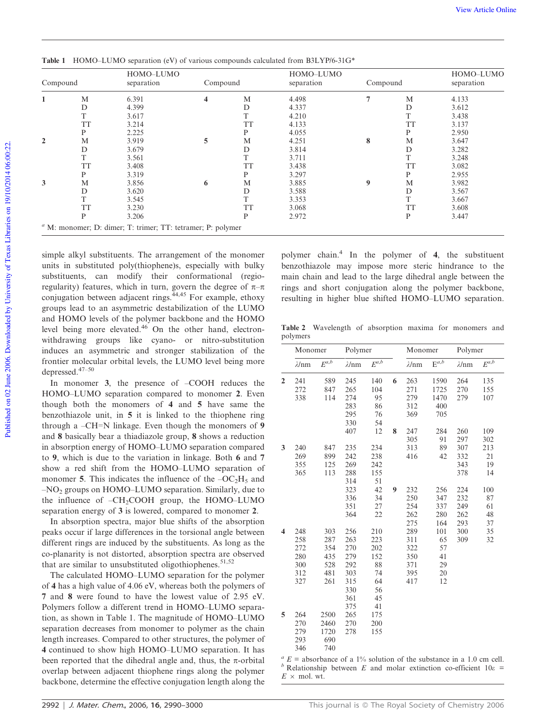| 6.391 |   |           |                                                                    |   | Compound  | separation |
|-------|---|-----------|--------------------------------------------------------------------|---|-----------|------------|
|       | 4 | M         | 4.498                                                              |   | M         | 4.133      |
| 4.399 |   | D         | 4.337                                                              |   | D         | 3.612      |
| 3.617 |   | T         | 4.210                                                              |   | T         | 3.438      |
| 3.214 |   | <b>TT</b> | 4.133                                                              |   | <b>TT</b> | 3.137      |
| 2.225 |   | P         | 4.055                                                              |   | P         | 2.950      |
| 3.919 | 5 | M         | 4.251                                                              | 8 | M         | 3.647      |
| 3.679 |   | D         | 3.814                                                              |   | D         | 3.282      |
| 3.561 |   |           | 3.711                                                              |   |           | 3.248      |
| 3.408 |   | <b>TT</b> | 3.438                                                              |   | <b>TT</b> | 3.082      |
| 3.319 |   | P         | 3.297                                                              |   | P         | 2.955      |
| 3.856 | 6 | M         | 3.885                                                              | 9 | M         | 3.982      |
| 3.620 |   | D         | 3.588                                                              |   | D         | 3.567      |
| 3.545 |   | T         | 3.353                                                              |   |           | 3.667      |
| 3.230 |   | <b>TT</b> | 3.068                                                              |   | <b>TT</b> | 3.608      |
| 3.206 |   | P         | 2.972                                                              |   | P         | 3.447      |
|       |   |           | $\alpha$ M: monomer; D: dimer; T: trimer; TT: tetramer; P: polymer |   |           |            |

Table 1 HOMO–LUMO separation (eV) of various compounds calculated from B3LYP/6-31G\*

simple alkyl substituents. The arrangement of the monomer units in substituted poly(thiophene)s, especially with bulky substituents, can modify their conformational (regioregularity) features, which in turn, govern the degree of  $\pi-\pi$ conjugation between adjacent rings.<sup>44,45</sup> For example, ethoxy groups lead to an asymmetric destabilization of the LUMO and HOMO levels of the polymer backbone and the HOMO level being more elevated.<sup>46</sup> On the other hand, electronwithdrawing groups like cyano- or nitro-substitution induces an asymmetric and stronger stabilization of the frontier molecular orbital levels, the LUMO level being more depressed.47–50

In monomer 3, the presence of –COOH reduces the HOMO–LUMO separation compared to monomer 2. Even though both the monomers of 4 and 5 have same the benzothiazole unit, in 5 it is linked to the thiophene ring through a  $-CH=N$  linkage. Even though the monomers of 9 and 8 basically bear a thiadiazole group, 8 shows a reduction in absorption energy of HOMO–LUMO separation compared to 9, which is due to the variation in linkage. Both 6 and 7 show a red shift from the HOMO–LUMO separation of monomer 5. This indicates the influence of the  $-OC<sub>2</sub>H<sub>5</sub>$  and –NO<sup>2</sup> groups on HOMO–LUMO separation. Similarly, due to the influence of  $-CH_2COOH$  group, the HOMO–LUMO separation energy of 3 is lowered, compared to monomer 2.

In absorption spectra, major blue shifts of the absorption peaks occur if large differences in the torsional angle between different rings are induced by the substituents. As long as the co-planarity is not distorted, absorption spectra are observed that are similar to unsubstituted oligothiophenes.  $51,52$ 

The calculated HOMO–LUMO separation for the polymer of 4 has a high value of 4.06 eV, whereas both the polymers of 7 and 8 were found to have the lowest value of 2.95 eV. Polymers follow a different trend in HOMO–LUMO separation, as shown in Table 1. The magnitude of HOMO–LUMO separation decreases from monomer to polymer as the chain length increases. Compared to other structures, the polymer of 4 continued to show high HOMO–LUMO separation. It has been reported that the dihedral angle and, thus, the  $\pi$ -orbital overlap between adjacent thiophene rings along the polymer backbone, determine the effective conjugation length along the polymer chain.<sup>4</sup> In the polymer of 4, the substituent benzothiazole may impose more steric hindrance to the main chain and lead to the large dihedral angle between the rings and short conjugation along the polymer backbone, resulting in higher blue shifted HOMO–LUMO separation.

Table 2 Wavelength of absorption maxima for monomers and polymers

| $\lambda$ /nm<br>241<br>272<br>338 | $E^{a,b}$<br>589<br>847<br>114                                                          | $\lambda$ /nm<br>245                                                                       | $E^{a,b}$<br>140                                                                                                    |                                                                                                                  | $\lambda$ /nm | $E^{a,b}$                                                                 | $\lambda$ /nm                                                       | $E^{a,b}$                              |
|------------------------------------|-----------------------------------------------------------------------------------------|--------------------------------------------------------------------------------------------|---------------------------------------------------------------------------------------------------------------------|------------------------------------------------------------------------------------------------------------------|---------------|---------------------------------------------------------------------------|---------------------------------------------------------------------|----------------------------------------|
|                                    |                                                                                         |                                                                                            |                                                                                                                     |                                                                                                                  |               |                                                                           |                                                                     |                                        |
|                                    |                                                                                         |                                                                                            |                                                                                                                     | 6                                                                                                                | 263           | 1590                                                                      | 264                                                                 | 135                                    |
|                                    |                                                                                         | 265                                                                                        | 104                                                                                                                 |                                                                                                                  | 271           | 1725                                                                      | 270                                                                 | 155                                    |
|                                    |                                                                                         | 274                                                                                        | 95                                                                                                                  |                                                                                                                  | 279           | 1470                                                                      | 279                                                                 | 107                                    |
|                                    |                                                                                         | 283                                                                                        | 86                                                                                                                  |                                                                                                                  | 312           | 400                                                                       |                                                                     |                                        |
|                                    |                                                                                         | 295                                                                                        | 76                                                                                                                  |                                                                                                                  | 369           | 705                                                                       |                                                                     |                                        |
|                                    |                                                                                         | 330                                                                                        | 54                                                                                                                  |                                                                                                                  |               |                                                                           |                                                                     |                                        |
|                                    |                                                                                         | 407                                                                                        | 12                                                                                                                  | 8                                                                                                                | 247           | 284                                                                       | 260                                                                 | 109                                    |
|                                    |                                                                                         |                                                                                            |                                                                                                                     |                                                                                                                  | 305           | 91                                                                        | 297                                                                 | 302                                    |
| 240                                | 847                                                                                     | 235                                                                                        | 234                                                                                                                 |                                                                                                                  | 313           | 89                                                                        | 307                                                                 | 213                                    |
| 269                                | 899                                                                                     | 242                                                                                        | 238                                                                                                                 |                                                                                                                  | 416           | 42                                                                        | 332                                                                 | 21                                     |
| 355                                | 125                                                                                     | 269                                                                                        | 242                                                                                                                 |                                                                                                                  |               |                                                                           | 343                                                                 | 19                                     |
|                                    |                                                                                         | 288                                                                                        |                                                                                                                     |                                                                                                                  |               |                                                                           | 378                                                                 | 14                                     |
|                                    |                                                                                         |                                                                                            |                                                                                                                     |                                                                                                                  |               |                                                                           |                                                                     |                                        |
|                                    |                                                                                         | 323                                                                                        | 42                                                                                                                  | 9                                                                                                                | 232           | 256                                                                       | 224                                                                 | 100                                    |
|                                    |                                                                                         |                                                                                            |                                                                                                                     |                                                                                                                  |               |                                                                           |                                                                     | 87                                     |
|                                    |                                                                                         |                                                                                            |                                                                                                                     |                                                                                                                  |               |                                                                           |                                                                     | 61                                     |
|                                    |                                                                                         |                                                                                            |                                                                                                                     |                                                                                                                  |               |                                                                           |                                                                     | 48                                     |
|                                    |                                                                                         |                                                                                            |                                                                                                                     |                                                                                                                  |               |                                                                           |                                                                     | 37                                     |
|                                    |                                                                                         |                                                                                            |                                                                                                                     |                                                                                                                  |               |                                                                           |                                                                     | 35                                     |
|                                    |                                                                                         |                                                                                            |                                                                                                                     |                                                                                                                  |               |                                                                           |                                                                     | 32                                     |
|                                    |                                                                                         |                                                                                            |                                                                                                                     |                                                                                                                  |               |                                                                           |                                                                     |                                        |
|                                    |                                                                                         |                                                                                            |                                                                                                                     |                                                                                                                  |               |                                                                           |                                                                     |                                        |
|                                    |                                                                                         |                                                                                            |                                                                                                                     |                                                                                                                  |               |                                                                           |                                                                     |                                        |
|                                    |                                                                                         |                                                                                            |                                                                                                                     |                                                                                                                  |               |                                                                           |                                                                     |                                        |
|                                    |                                                                                         |                                                                                            |                                                                                                                     |                                                                                                                  |               |                                                                           |                                                                     |                                        |
|                                    |                                                                                         |                                                                                            |                                                                                                                     |                                                                                                                  |               |                                                                           |                                                                     |                                        |
|                                    |                                                                                         |                                                                                            |                                                                                                                     |                                                                                                                  |               |                                                                           |                                                                     |                                        |
|                                    |                                                                                         |                                                                                            |                                                                                                                     |                                                                                                                  |               |                                                                           |                                                                     |                                        |
|                                    |                                                                                         |                                                                                            |                                                                                                                     |                                                                                                                  |               |                                                                           |                                                                     |                                        |
|                                    |                                                                                         |                                                                                            |                                                                                                                     |                                                                                                                  |               |                                                                           |                                                                     |                                        |
|                                    |                                                                                         |                                                                                            |                                                                                                                     |                                                                                                                  |               |                                                                           |                                                                     |                                        |
|                                    |                                                                                         |                                                                                            |                                                                                                                     |                                                                                                                  |               |                                                                           |                                                                     |                                        |
|                                    |                                                                                         |                                                                                            |                                                                                                                     |                                                                                                                  |               |                                                                           |                                                                     |                                        |
|                                    | 365<br>248<br>258<br>272<br>280<br>300<br>312<br>327<br>264<br>270<br>279<br>293<br>346 | 113<br>303<br>287<br>354<br>435<br>528<br>481<br>261<br>2500<br>2460<br>1720<br>690<br>740 | 314<br>336<br>351<br>364<br>256<br>263<br>270<br>279<br>292<br>303<br>315<br>330<br>361<br>375<br>265<br>270<br>278 | 155<br>51<br>34<br>27<br>22<br>210<br>223<br>202<br>152<br>88<br>74<br>64<br>56<br>45<br>41<br>175<br>200<br>155 |               | 250<br>254<br>262<br>275<br>289<br>311<br>322<br>350<br>371<br>395<br>417 | 347<br>337<br>280<br>164<br>101<br>65<br>57<br>41<br>29<br>20<br>12 | 232<br>249<br>262<br>293<br>300<br>309 |

 $a<sup>a</sup> E =$  absorbance of a 1% solution of the substance in a 1.0 cm cell.  $b$  Relationship between *E* and molar extinction co-efficient  $10\varepsilon$  =  $E \times$  mol. wt.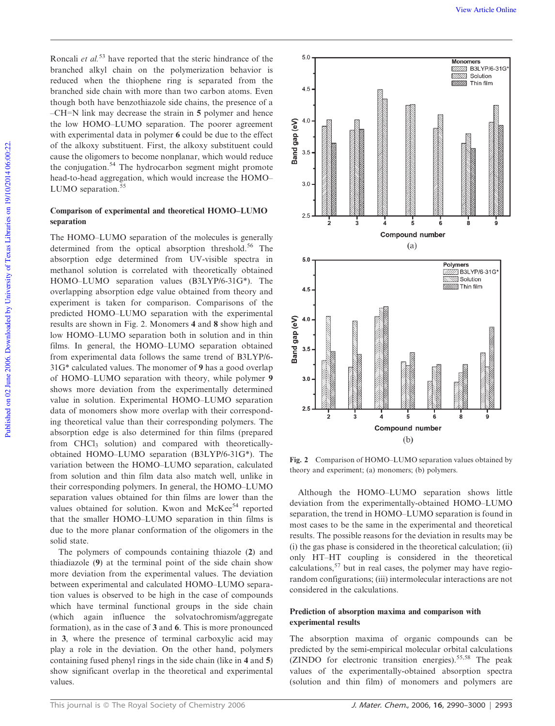Roncali *et al.*<sup>53</sup> have reported that the steric hindrance of the branched alkyl chain on the polymerization behavior is reduced when the thiophene ring is separated from the branched side chain with more than two carbon atoms. Even though both have benzothiazole side chains, the presence of a  $-CH=N$  link may decrease the strain in 5 polymer and hence the low HOMO–LUMO separation. The poorer agreement with experimental data in polymer 6 could be due to the effect of the alkoxy substituent. First, the alkoxy substituent could cause the oligomers to become nonplanar, which would reduce the conjugation.<sup>54</sup> The hydrocarbon segment might promote head-to-head aggregation, which would increase the HOMO– LUMO separation.<sup>55</sup>

## Comparison of experimental and theoretical HOMO–LUMO separation

The HOMO–LUMO separation of the molecules is generally determined from the optical absorption threshold.<sup>56</sup> The absorption edge determined from UV-visible spectra in methanol solution is correlated with theoretically obtained HOMO–LUMO separation values (B3LYP/6-31G\*). The overlapping absorption edge value obtained from theory and experiment is taken for comparison. Comparisons of the predicted HOMO–LUMO separation with the experimental results are shown in Fig. 2. Monomers 4 and 8 show high and low HOMO–LUMO separation both in solution and in thin films. In general, the HOMO–LUMO separation obtained from experimental data follows the same trend of B3LYP/6- 31G\* calculated values. The monomer of 9 has a good overlap of HOMO–LUMO separation with theory, while polymer 9 shows more deviation from the experimentally determined value in solution. Experimental HOMO–LUMO separation data of monomers show more overlap with their corresponding theoretical value than their corresponding polymers. The absorption edge is also determined for thin films (prepared from CHCl<sub>3</sub> solution) and compared with theoreticallyobtained HOMO–LUMO separation (B3LYP/6-31G\*). The variation between the HOMO–LUMO separation, calculated from solution and thin film data also match well, unlike in their corresponding polymers. In general, the HOMO–LUMO separation values obtained for thin films are lower than the values obtained for solution. Kwon and McKee<sup>54</sup> reported that the smaller HOMO–LUMO separation in thin films is due to the more planar conformation of the oligomers in the solid state.

The polymers of compounds containing thiazole (2) and thiadiazole (9) at the terminal point of the side chain show more deviation from the experimental values. The deviation between experimental and calculated HOMO–LUMO separation values is observed to be high in the case of compounds which have terminal functional groups in the side chain (which again influence the solvatochromism/aggregate formation), as in the case of 3 and 6. This is more pronounced in 3, where the presence of terminal carboxylic acid may play a role in the deviation. On the other hand, polymers containing fused phenyl rings in the side chain (like in 4 and 5) show significant overlap in the theoretical and experimental values.



Fig. 2 Comparison of HOMO–LUMO separation values obtained by theory and experiment; (a) monomers; (b) polymers.

Although the HOMO–LUMO separation shows little deviation from the experimentally-obtained HOMO–LUMO separation, the trend in HOMO–LUMO separation is found in most cases to be the same in the experimental and theoretical results. The possible reasons for the deviation in results may be (i) the gas phase is considered in the theoretical calculation; (ii) only HT–HT coupling is considered in the theoretical calculations,<sup>57</sup> but in real cases, the polymer may have regiorandom configurations; (iii) intermolecular interactions are not considered in the calculations.

## Prediction of absorption maxima and comparison with experimental results

The absorption maxima of organic compounds can be predicted by the semi-empirical molecular orbital calculations (ZINDO for electronic transition energies).<sup>55,58</sup> The peak values of the experimentally-obtained absorption spectra (solution and thin film) of monomers and polymers are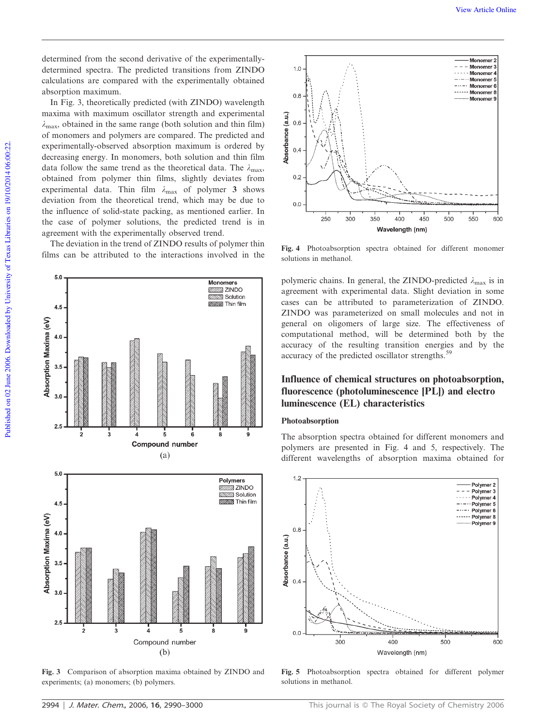determined from the second derivative of the experimentallydetermined spectra. The predicted transitions from ZINDO calculations are compared with the experimentally obtained absorption maximum.

In Fig. 3, theoretically predicted (with ZINDO) wavelength maxima with maximum oscillator strength and experimental  $\lambda_{\text{max}}$ , obtained in the same range (both solution and thin film) of monomers and polymers are compared. The predicted and experimentally-observed absorption maximum is ordered by decreasing energy. In monomers, both solution and thin film data follow the same trend as the theoretical data. The  $\lambda_{\text{max}}$ , obtained from polymer thin films, slightly deviates from experimental data. Thin film  $\lambda_{\text{max}}$  of polymer 3 shows deviation from the theoretical trend, which may be due to the influence of solid-state packing, as mentioned earlier. In the case of polymer solutions, the predicted trend is in agreement with the experimentally observed trend.

The deviation in the trend of ZINDO results of polymer thin films can be attributed to the interactions involved in the

**Monomers** 



Fig. 3 Comparison of absorption maxima obtained by ZINDO and experiments; (a) monomers; (b) polymers.



Fig. 4 Photoabsorption spectra obtained for different monomer solutions in methanol.

polymeric chains. In general, the ZINDO-predicted  $\lambda_{\text{max}}$  is in agreement with experimental data. Slight deviation in some cases can be attributed to parameterization of ZINDO. ZINDO was parameterized on small molecules and not in general on oligomers of large size. The effectiveness of computational method, will be determined both by the accuracy of the resulting transition energies and by the accuracy of the predicted oscillator strengths.<sup>59</sup>

# Influence of chemical structures on photoabsorption, fluorescence (photoluminescence [PL]) and electro luminescence (EL) characteristics

# Photoabsorption

The absorption spectra obtained for different monomers and polymers are presented in Fig. 4 and 5, respectively. The different wavelengths of absorption maxima obtained for



Fig. 5 Photoabsorption spectra obtained for different polymer solutions in methanol.

 $50$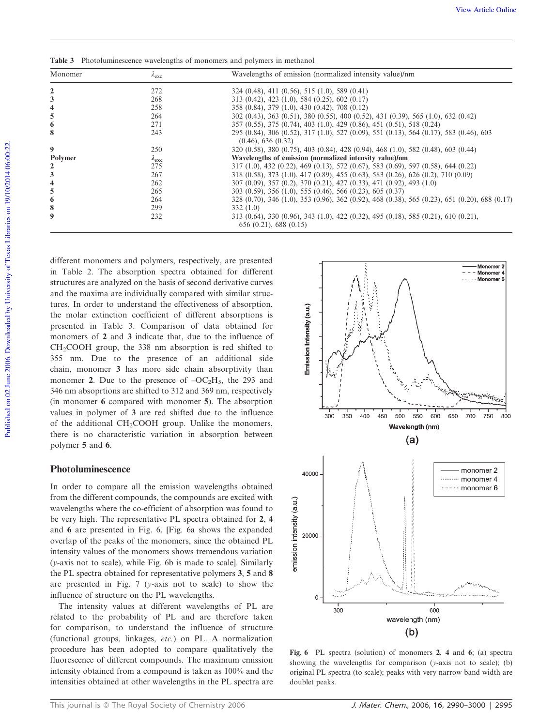| Monomer        | $\lambda_{\rm exc}$ | Wavelengths of emission (normalized intensity value)/nm                                                                  |
|----------------|---------------------|--------------------------------------------------------------------------------------------------------------------------|
|                | 272                 | $324(0.48), 411(0.56), 515(1.0), 589(0.41)$                                                                              |
|                | 268                 | $313(0.42), 423(1.0), 584(0.25), 602(0.17)$                                                                              |
|                | 258                 | 358 (0.84), 379 (1.0), 430 (0.42), 708 (0.12)                                                                            |
|                | 264                 | 302 (0.43), 363 (0.51), 380 (0.55), 400 (0.52), 431 (0.39), 565 (1.0), 632 (0.42)                                        |
|                | 271                 | 357 (0.55), 375 (0.74), 403 (1.0), 429 (0.86), 451 (0.51), 518 (0.24)                                                    |
|                | 243                 | 295 (0.84), 306 (0.52), 317 (1.0), 527 (0.09), 551 (0.13), 564 (0.17), 583 (0.46), 603<br>$(0.46)$ , 636 $(0.32)$        |
| 9              | 250                 | 320 (0.58), 380 (0.75), 403 (0.84), 428 (0.94), 468 (1.0), 582 (0.48), 603 (0.44)                                        |
| <b>Polymer</b> | $\lambda_{\rm exc}$ | Wavelengths of emission (normalized intensity value)/nm                                                                  |
|                | 275                 | $317(1.0), 432(0.22), 469(0.13), 572(0.67), 583(0.69), 597(0.58), 644(0.22)$                                             |
|                | 267                 | 318 (0.58), 373 (1.0), 417 (0.89), 455 (0.63), 583 (0.26), 626 (0.2), 710 (0.09)                                         |
|                | 262                 | 307 (0.09), 357 (0.2), 370 (0.21), 427 (0.33), 471 (0.92), 493 (1.0)                                                     |
|                | 265                 | $303(0.59)$ , $356(1.0)$ , $555(0.46)$ , $566(0.23)$ , $605(0.37)$                                                       |
|                | 264                 | 328 (0.70), 346 (1.0), 353 (0.96), 362 (0.92), 468 (0.38), 565 (0.23), 651 (0.20), 688 (0.17)                            |
|                | 299                 | 332(1.0)                                                                                                                 |
|                | 232                 | $313(0.64)$ , $330(0.96)$ , $343(1.0)$ , $422(0.32)$ , $495(0.18)$ , $585(0.21)$ , $610(0.21)$ ,<br>656(0.21), 688(0.15) |

Table 3 Photoluminescence wavelengths of monomers and polymers in methanol

different monomers and polymers, respectively, are presented in Table 2. The absorption spectra obtained for different structures are analyzed on the basis of second derivative curves and the maxima are individually compared with similar structures. In order to understand the effectiveness of absorption, the molar extinction coefficient of different absorptions is presented in Table 3. Comparison of data obtained for monomers of 2 and 3 indicate that, due to the influence of CH2COOH group, the 338 nm absorption is red shifted to 355 nm. Due to the presence of an additional side chain, monomer 3 has more side chain absorptivity than monomer 2. Due to the presence of  $-OC<sub>2</sub>H<sub>5</sub>$ , the 293 and 346 nm absoprtions are shifted to 312 and 369 nm, respectively (in monomer 6 compared with monomer 5). The absorption values in polymer of 3 are red shifted due to the influence of the additional  $CH_2COOH$  group. Unlike the monomers, there is no characteristic variation in absorption between polymer 5 and 6.

# Photoluminescence

In order to compare all the emission wavelengths obtained from the different compounds, the compounds are excited with wavelengths where the co-efficient of absorption was found to be very high. The representative PL spectra obtained for 2, 4 and 6 are presented in Fig. 6. [Fig. 6a shows the expanded overlap of the peaks of the monomers, since the obtained PL intensity values of the monomers shows tremendous variation (*y*-axis not to scale), while Fig. 6b is made to scale]. Similarly the PL spectra obtained for representative polymers 3, 5 and 8 are presented in Fig. 7 (*y*-axis not to scale) to show the influence of structure on the PL wavelengths.

The intensity values at different wavelengths of PL are related to the probability of PL and are therefore taken for comparison, to understand the influence of structure (functional groups, linkages, *etc.*) on PL. A normalization procedure has been adopted to compare qualitatively the fluorescence of different compounds. The maximum emission intensity obtained from a compound is taken as 100% and the intensities obtained at other wavelengths in the PL spectra are



Fig. 6 PL spectra (solution) of monomers 2, 4 and 6; (a) spectra showing the wavelengths for comparison (*y*-axis not to scale); (b) original PL spectra (to scale); peaks with very narrow band width are doublet peaks.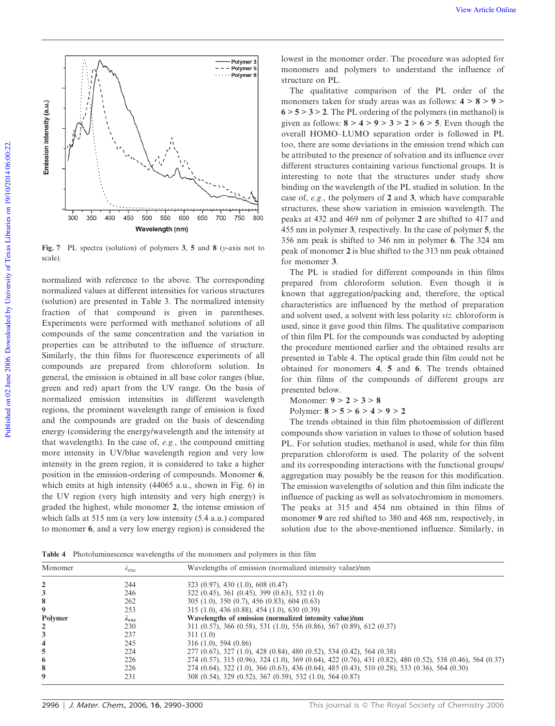

Fig. 7 PL spectra (solution) of polymers 3, 5 and 8 (*y*-axis not to scale).

normalized with reference to the above. The corresponding normalized values at different intensities for various structures (solution) are presented in Table 3. The normalized intensity fraction of that compound is given in parentheses. Experiments were performed with methanol solutions of all compounds of the same concentration and the variation in properties can be attributed to the influence of structure. Similarly, the thin films for fluorescence experiments of all compounds are prepared from chloroform solution. In general, the emission is obtained in all base color ranges (blue, green and red) apart from the UV range. On the basis of normalized emission intensities in different wavelength regions, the prominent wavelength range of emission is fixed and the compounds are graded on the basis of descending energy (considering the energy/wavelength and the intensity at that wavelength). In the case of, *e.g.*, the compound emitting more intensity in UV/blue wavelength region and very low intensity in the green region, it is considered to take a higher position in the emission-ordering of compounds. Monomer 6, which emits at high intensity (44065 a.u., shown in Fig. 6) in the UV region (very high intensity and very high energy) is graded the highest, while monomer 2, the intense emission of which falls at 515 nm (a very low intensity  $(5.4 \text{ a.u.})$  compared to monomer 6, and a very low energy region) is considered the lowest in the monomer order. The procedure was adopted for monomers and polymers to understand the influence of structure on PL.

The qualitative comparison of the PL order of the monomers taken for study areas was as follows:  $4 > 8 > 9 >$  $6 > 5 > 3 > 2$ . The PL ordering of the polymers (in methanol) is given as follows:  $8 > 4 > 9 > 3 > 2 > 6 > 5$ . Even though the overall HOMO–LUMO separation order is followed in PL too, there are some deviations in the emission trend which can be attributed to the presence of solvation and its influence over different structures containing various functional groups. It is interesting to note that the structures under study show binding on the wavelength of the PL studied in solution. In the case of, *e.g.*, the polymers of 2 and 3, which have comparable structures, these show variation in emission wavelength. The peaks at 432 and 469 nm of polymer 2 are shifted to 417 and 455 nm in polymer 3, respectively. In the case of polymer 5, the 356 nm peak is shifted to 346 nm in polymer 6. The 324 nm peak of monomer 2 is blue shifted to the 313 nm peak obtained for monomer 3.

The PL is studied for different compounds in thin films prepared from chloroform solution. Even though it is known that aggregation/packing and, therefore, the optical characteristics are influenced by the method of preparation and solvent used, a solvent with less polarity *viz.* chloroform is used, since it gave good thin films. The qualitative comparison of thin film PL for the compounds was conducted by adopting the procedure mentioned earlier and the obtained results are presented in Table 4. The optical grade thin film could not be obtained for monomers 4, 5 and 6. The trends obtained for thin films of the compounds of different groups are presented below.

Monomer:  $9 > 2 > 3 > 8$ 

Polymer:  $8 > 5 > 6 > 4 > 9 > 2$ 

The trends obtained in thin film photoemission of different compounds show variation in values to those of solution based PL. For solution studies, methanol is used, while for thin film preparation chloroform is used. The polarity of the solvent and its corresponding interactions with the functional groups/ aggregation may possibly be the reason for this modification. The emission wavelengths of solution and thin film indicate the influence of packing as well as solvatochromism in monomers. The peaks at 315 and 454 nm obtained in thin films of monomer 9 are red shifted to 380 and 468 nm, respectively, in solution due to the above-mentioned influence. Similarly, in

Table 4 Photoluminescence wavelengths of the monomers and polymers in thin film

| Monomer                 | $\lambda$ exc       | Wavelengths of emission (normalized intensity value)/nm                                                   |
|-------------------------|---------------------|-----------------------------------------------------------------------------------------------------------|
|                         | 244                 | 323(0.97), 430(1.0), 608(0.47)                                                                            |
| 3                       | 246                 | $322$ (0.45), 361 (0.45), 399 (0.63), 532 (1.0)                                                           |
| 8                       | 262                 | $305(1.0), 350(0.7), 456(0.83), 604(0.63)$                                                                |
| 9                       | 253                 | $315(1.0), 436(0.88), 454(1.0), 630(0.39)$                                                                |
| Polymer                 | $\lambda_{\rm exc}$ | Wavelengths of emission (normalized intensity value)/nm                                                   |
| 2                       | 230                 | $311$ (0.57), 366 (0.58), 531 (1.0), 556 (0.86), 567 (0.89), 612 (0.37)                                   |
|                         | 237                 | 311(1.0)                                                                                                  |
| $\overline{\mathbf{4}}$ | 245                 | 316(1.0), 594(0.86)                                                                                       |
| 5                       | 224                 | 277 (0.67), 327 (1.0), 428 (0.84), 480 (0.52), 534 (0.42), 564 (0.38)                                     |
| 6                       | 226                 | 274 (0.57), 315 (0.96), 324 (1.0), 369 (0.64), 422 (0.76), 431 (0.82), 480 (0.52), 538 (0.46), 564 (0.37) |
| 8                       | 226                 | 274 (0.64), 322 (1.0), 366 (0.63), 436 (0.64), 485 (0.43), 510 (0.28), 533 (0.36), 564 (0.30)             |
| 9                       | 231                 | 308 (0.54), 329 (0.52), 367 (0.59), 532 (1.0), 564 (0.87)                                                 |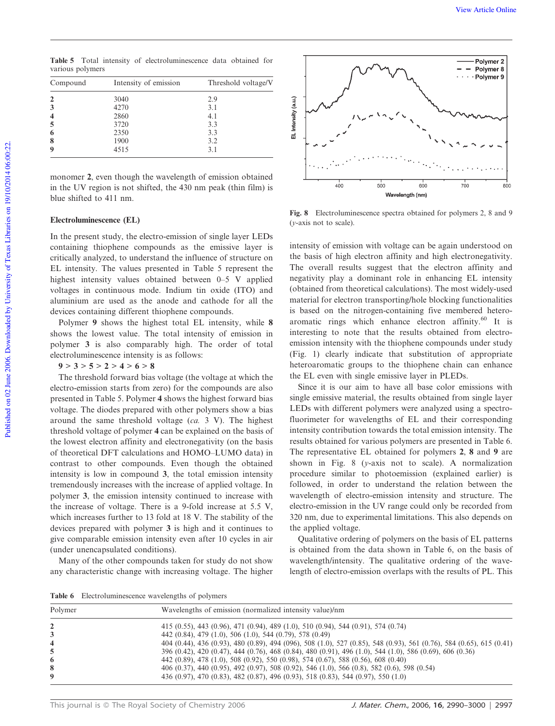Table 5 Total intensity of electroluminescence data obtained for various polymers

| Compound | Intensity of emission | Threshold voltage/V |  |
|----------|-----------------------|---------------------|--|
|          | 3040                  | 2.9                 |  |
|          | 4270                  | 3.1                 |  |
|          | 2860                  | 4.1                 |  |
|          | 3720                  | 3.3                 |  |
| 6        | 2350                  | 3.3                 |  |
| 8        | 1900                  | 3.2                 |  |
| q        | 4515                  | 3.1                 |  |

monomer 2, even though the wavelength of emission obtained in the UV region is not shifted, the 430 nm peak (thin film) is blue shifted to 411 nm.

## Electroluminescence (EL)

In the present study, the electro-emission of single layer LEDs containing thiophene compounds as the emissive layer is critically analyzed, to understand the influence of structure on EL intensity. The values presented in Table 5 represent the highest intensity values obtained between 0–5 V applied voltages in continuous mode. Indium tin oxide (ITO) and aluminium are used as the anode and cathode for all the devices containing different thiophene compounds.

Polymer 9 shows the highest total EL intensity, while 8 shows the lowest value. The total intensity of emission in polymer 3 is also comparably high. The order of total electroluminescence intensity is as follows:

## $9 > 3 > 5 > 2 > 4 > 6 > 8$

The threshold forward bias voltage (the voltage at which the electro-emission starts from zero) for the compounds are also presented in Table 5. Polymer 4 shows the highest forward bias voltage. The diodes prepared with other polymers show a bias around the same threshold voltage (*ca.* 3 V). The highest threshold voltage of polymer 4 can be explained on the basis of the lowest electron affinity and electronegativity (on the basis of theoretical DFT calculations and HOMO–LUMO data) in contrast to other compounds. Even though the obtained intensity is low in compound 3, the total emission intensity tremendously increases with the increase of applied voltage. In polymer 3, the emission intensity continued to increase with the increase of voltage. There is a 9-fold increase at 5.5 V, which increases further to 13 fold at 18 V. The stability of the devices prepared with polymer 3 is high and it continues to give comparable emission intensity even after 10 cycles in air (under unencapsulated conditions).

Many of the other compounds taken for study do not show any characteristic change with increasing voltage. The higher



Fig. 8 Electroluminescence spectra obtained for polymers 2, 8 and 9 (*y*-axis not to scale).

intensity of emission with voltage can be again understood on the basis of high electron affinity and high electronegativity. The overall results suggest that the electron affinity and negativity play a dominant role in enhancing EL intensity (obtained from theoretical calculations). The most widely-used material for electron transporting/hole blocking functionalities is based on the nitrogen-containing five membered heteroaromatic rings which enhance electron affinity.<sup>60</sup> It is interesting to note that the results obtained from electroemission intensity with the thiophene compounds under study (Fig. 1) clearly indicate that substitution of appropriate heteroaromatic groups to the thiophene chain can enhance the EL even with single emissive layer in PLEDs.

Since it is our aim to have all base color emissions with single emissive material, the results obtained from single layer LEDs with different polymers were analyzed using a spectrofluorimeter for wavelengths of EL and their corresponding intensity contribution towards the total emission intensity. The results obtained for various polymers are presented in Table 6. The representative EL obtained for polymers 2, 8 and 9 are shown in Fig. 8 (*y*-axis not to scale). A normalization procedure similar to photoemission (explained earlier) is followed, in order to understand the relation between the wavelength of electro-emission intensity and structure. The electro-emission in the UV range could only be recorded from 320 nm, due to experimental limitations. This also depends on the applied voltage.

Qualitative ordering of polymers on the basis of EL patterns is obtained from the data shown in Table 6, on the basis of wavelength/intensity. The qualitative ordering of the wavelength of electro-emission overlaps with the results of PL. This

Table 6 Electroluminescence wavelengths of polymers

| Wavelengths of emission (normalized intensity value)/nm<br>Polymer |                                                                                                                                                                                                                                                                                                                                                                                                                                                                                                                                                                                                                                                            |  |  |
|--------------------------------------------------------------------|------------------------------------------------------------------------------------------------------------------------------------------------------------------------------------------------------------------------------------------------------------------------------------------------------------------------------------------------------------------------------------------------------------------------------------------------------------------------------------------------------------------------------------------------------------------------------------------------------------------------------------------------------------|--|--|
| $\overline{2}$<br>3<br>$\overline{\mathbf{4}}$<br>6<br>8<br>9      | 415 (0.55), 443 (0.96), 471 (0.94), 489 (1.0), 510 (0.94), 544 (0.91), 574 (0.74)<br>442 (0.84), 479 (1.0), 506 (1.0), 544 (0.79), 578 (0.49)<br>404 (0.44), 436 (0.93), 480 (0.89), 494 (096), 508 (1.0), 527 (0.85), 548 (0.93), 561 (0.76), 584 (0.65), 615 (0.41)<br>396 (0.42), 420 (0.47), 444 (0.76), 468 (0.84), 480 (0.91), 496 (1.0), 544 (1.0), 586 (0.69), 606 (0.36)<br>442 (0.89), 478 (1.0), 508 (0.92), 550 (0.98), 574 (0.67), 588 (0.56), 608 (0.40)<br>406 (0.37), 440 (0.95), 492 (0.97), 508 (0.92), 546 (1.0), 566 (0.8), 582 (0.6), 598 (0.54)<br>436 (0.97), 470 (0.83), 482 (0.87), 496 (0.93), 518 (0.83), 544 (0.97), 550 (1.0) |  |  |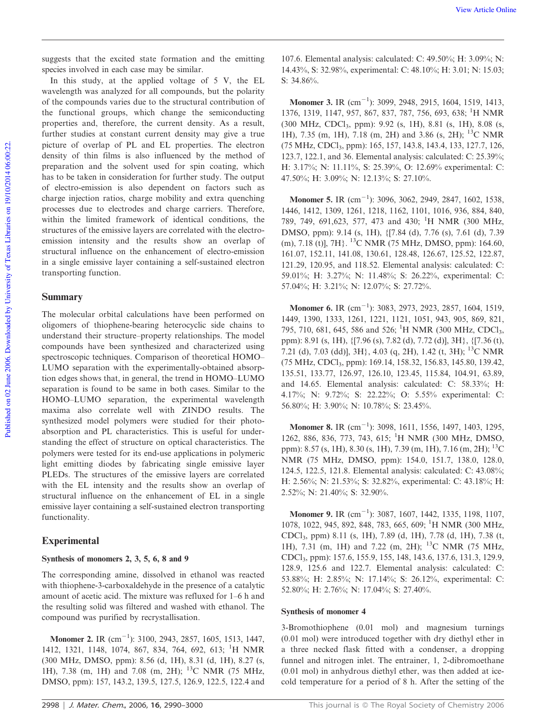suggests that the excited state formation and the emitting species involved in each case may be similar.

In this study, at the applied voltage of 5 V, the EL wavelength was analyzed for all compounds, but the polarity of the compounds varies due to the structural contribution of the functional groups, which change the semiconducting properties and, therefore, the current density. As a result, further studies at constant current density may give a true picture of overlap of PL and EL properties. The electron density of thin films is also influenced by the method of preparation and the solvent used for spin coating, which has to be taken in consideration for further study. The output of electro-emission is also dependent on factors such as charge injection ratios, charge mobility and extra quenching processes due to electrodes and charge carriers. Therefore, within the limited framework of identical conditions, the structures of the emissive layers are correlated with the electroemission intensity and the results show an overlap of structural influence on the enhancement of electro-emission in a single emissive layer containing a self-sustained electron transporting function.

### Summary

The molecular orbital calculations have been performed on oligomers of thiophene-bearing heterocyclic side chains to understand their structure–property relationships. The model compounds have been synthesized and characterized using spectroscopic techniques. Comparison of theoretical HOMO– LUMO separation with the experimentally-obtained absorption edges shows that, in general, the trend in HOMO–LUMO separation is found to be same in both cases. Similar to the HOMO–LUMO separation, the experimental wavelength maxima also correlate well with ZINDO results. The synthesized model polymers were studied for their photoabsorption and PL characteristics. This is useful for understanding the effect of structure on optical characteristics. The polymers were tested for its end-use applications in polymeric light emitting diodes by fabricating single emissive layer PLEDs. The structures of the emissive layers are correlated with the EL intensity and the results show an overlap of structural influence on the enhancement of EL in a single emissive layer containing a self-sustained electron transporting functionality.

#### Experimental

#### Synthesis of monomers 2, 3, 5, 6, 8 and 9

The corresponding amine, dissolved in ethanol was reacted with thiophene-3-carboxaldehyde in the presence of a catalytic amount of acetic acid. The mixture was refluxed for 1–6 h and the resulting solid was filtered and washed with ethanol. The compound was purified by recrystallisation.

**Monomer 2.** IR  $(\text{cm}^{-1})$ : 3100, 2943, 2857, 1605, 1513, 1447, 1412, 1321, 1148, 1074, 867, 834, 764, 692, 613; <sup>1</sup>H NMR (300 MHz, DMSO, ppm): 8.56 (d, 1H), 8.31 (d, 1H), 8.27 (s, 1H), 7.38 (m, 1H) and 7.08 (m, 2H); <sup>13</sup>C NMR (75 MHz, DMSO, ppm): 157, 143.2, 139.5, 127.5, 126.9, 122.5, 122.4 and

107.6. Elemental analysis: calculated: C: 49.50%; H: 3.09%; N: 14.43%, S: 32.98%, experimental: C: 48.10%; H: 3.01; N: 15.03; S: 34.86%.

**Monomer 3.** IR  $(cm^{-1})$ : 3099, 2948, 2915, 1604, 1519, 1413, 1376, 1319, 1147, 957, 867, 837, 787, 756, 693, 638; <sup>1</sup>H NMR (300 MHz, CDCl3, ppm): 9.92 (s, 1H), 8.81 (s, 1H), 8.08 (s, 1H), 7.35 (m, 1H), 7.18 (m, 2H) and 3.86 (s, 2H); <sup>13</sup>C NMR (75 MHz, CDCl3, ppm): 165, 157, 143.8, 143.4, 133, 127.7, 126, 123.7, 122.1, and 36. Elemental analysis: calculated: C: 25.39%; H: 3.17%; N: 11.11%, S: 25.39%, O: 12.69% experimental: C: 47.50%; H: 3.09%; N: 12.13%; S: 27.10%.

**Monomer 5.** IR  $(cm^{-1})$ : 3096, 3062, 2949, 2847, 1602, 1538, 1446, 1412, 1309, 1261, 1218, 1162, 1101, 1016, 936, 884, 840, 789, 749, 691,623, 577, 473 and 430; <sup>1</sup>H NMR (300 MHz, DMSO, ppm): 9.14 (s, 1H), {[7.84 (d), 7.76 (s), 7.61 (d), 7.39 (m), 7.18 (t)], 7H}. <sup>13</sup>C NMR (75 MHz, DMSO, ppm): 164.60, 161.07, 152.11, 141.08, 130.61, 128.48, 126.67, 125.52, 122.87, 121.29, 120.95, and 118.52. Elemental analysis: calculated: C: 59.01%; H: 3.27%; N: 11.48%; S: 26.22%, experimental: C: 57.04%; H: 3.21%; N: 12.07%; S: 27.72%.

**Monomer 6.** IR  $(cm^{-1})$ : 3083, 2973, 2923, 2857, 1604, 1519, 1449, 1390, 1333, 1261, 1221, 1121, 1051, 943, 905, 869, 821, 795, 710, 681, 645, 586 and 526; <sup>1</sup>H NMR (300 MHz, CDCl<sub>3</sub>, ppm): 8.91 (s, 1H), {[7.96 (s), 7.82 (d), 7.72 (d)], 3H}, {[7.36 (t), 7.21 (d), 7.03 (dd)], 3H $\}$ , 4.03 (q, 2H), 1.42 (t, 3H); <sup>13</sup>C NMR (75 MHz, CDCl3, ppm): 169.14, 158.32, 156.83, 145.80, 139.42, 135.51, 133.77, 126.97, 126.10, 123.45, 115.84, 104.91, 63.89, and 14.65. Elemental analysis: calculated: C: 58.33%; H: 4.17%; N: 9.72%; S: 22.22%; O: 5.55% experimental: C: 56.80%; H: 3.90%; N: 10.78%; S: 23.45%.

**Monomer 8.** IR  $(cm^{-1})$ : 3098, 1611, 1556, 1497, 1403, 1295, 1262, 886, 836, 773, 743, 615; <sup>1</sup>H NMR (300 MHz, DMSO, ppm): 8.57 (s, 1H), 8.30 (s, 1H), 7.39 (m, 1H), 7.16 (m, 2H); <sup>13</sup>C NMR (75 MHz, DMSO, ppm): 154.0, 151.7, 138.0, 128.0, 124.5, 122.5, 121.8. Elemental analysis: calculated: C: 43.08%; H: 2.56%; N: 21.53%; S: 32.82%, experimental: C: 43.18%; H: 2.52%; N: 21.40%; S: 32.90%.

**Monomer 9.** IR  $(cm^{-1})$ : 3087, 1607, 1442, 1335, 1198, 1107, 1078, 1022, 945, 892, 848, 783, 665, 609; <sup>1</sup>H NMR (300 MHz, CDCl3, ppm) 8.11 (s, 1H), 7.89 (d, 1H), 7.78 (d, 1H), 7.38 (t, 1H), 7.31 (m, 1H) and 7.22 (m, 2H); <sup>13</sup>C NMR (75 MHz, CDCl3, ppm): 157.6, 155.9, 155, 148, 143.6, 137.6, 131.3, 129.9, 128.9, 125.6 and 122.7. Elemental analysis: calculated: C: 53.88%; H: 2.85%; N: 17.14%; S: 26.12%, experimental: C: 52.80%; H: 2.76%; N: 17.04%; S: 27.40%.

#### Synthesis of monomer 4

3-Bromothiophene (0.01 mol) and magnesium turnings (0.01 mol) were introduced together with dry diethyl ether in a three necked flask fitted with a condenser, a dropping funnel and nitrogen inlet. The entrainer, 1, 2-dibromoethane (0.01 mol) in anhydrous diethyl ether, was then added at icecold temperature for a period of 8 h. After the setting of the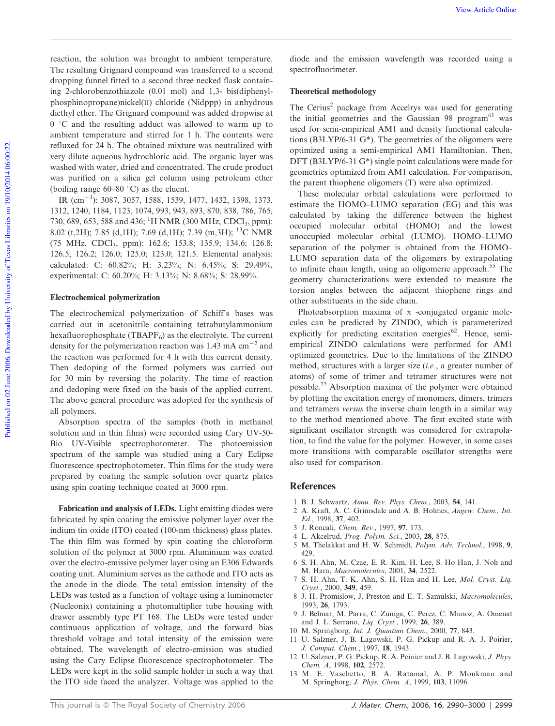reaction, the solution was brought to ambient temperature. The resulting Grignard compound was transferred to a second dropping funnel fitted to a second three necked flask containing 2-chlorobenzothiazole (0.01 mol) and 1,3- bis(diphenylphosphinopropane)nickel(II) chloride (Nidppp) in anhydrous diethyl ether. The Grignard compound was added dropwise at  $0 °C$  and the resulting adduct was allowed to warm up to ambient temperature and stirred for 1 h. The contents were refluxed for 24 h. The obtained mixture was neutralized with very dilute aqueous hydrochloric acid. The organic layer was washed with water, dried and concentrated. The crude product was purified on a silica gel column using petroleum ether (boiling range  $60-80$  °C) as the eluent.

IR (cm<sup>-1</sup>): 3087, 3057, 1588, 1539, 1477, 1432, 1398, 1373, 1312, 1240, 1184, 1123, 1074, 993, 943, 893, 870, 838, 786, 765, 730, 689, 653, 588 and 436; <sup>1</sup>H NMR (300 MHz, CDCl<sub>3</sub>, ppm): 8.02 (t,2H); 7.85 (d,1H); 7.69 (d,1H); 7.39 (m,3H); <sup>13</sup>C NMR (75 MHz, CDCl<sup>3</sup> , ppm): 162.6; 153.8; 135.9; 134.6; 126.8; 126.5; 126.2; 126.0; 125.0; 123.0; 121.5. Elemental analysis: calculated: C: 60.82%; H: 3.23%; N: 6.45%; S: 29.49%, experimental: C: 60.20%; H: 3.13%; N: 8.68%; S: 28.99%.

#### Electrochemical polymerization

The electrochemical polymerization of Schiff's bases was carried out in acetonitrile containing tetrabutylammonium hexafluorophosphate (TBAPF $_6$ ) as the electrolyte. The current density for the polymerization reaction was  $1.43 \text{ mA cm}^{-2}$  and the reaction was performed for 4 h with this current density. Then dedoping of the formed polymers was carried out for 30 min by reversing the polarity. The time of reaction and dedoping were fixed on the basis of the applied current. The above general procedure was adopted for the synthesis of all polymers.

Absorption spectra of the samples (both in methanol solution and in thin films) were recorded using Cary UV-50- Bio UV-Visible spectrophotometer. The photoemission spectrum of the sample was studied using a Cary Eclipse fluorescence spectrophotometer. Thin films for the study were prepared by coating the sample solution over quartz plates using spin coating technique coated at 3000 rpm.

Fabrication and analysis of LEDs. Light emitting diodes were fabricated by spin coating the emissive polymer layer over the indium tin oxide (ITO) coated (100-nm thickness) glass plates. The thin film was formed by spin coating the chloroform solution of the polymer at 3000 rpm. Aluminium was coated over the electro-emissive polymer layer using an E306 Edwards coating unit. Aluminium serves as the cathode and ITO acts as the anode in the diode. The total emission intensity of the LEDs was tested as a function of voltage using a luminometer (Nucleonix) containing a photomultiplier tube housing with drawer assembly type PT 168. The LEDs were tested under continuous application of voltage, and the forward bias threshold voltage and total intensity of the emission were obtained. The wavelength of electro-emission was studied using the Cary Eclipse fluorescence spectrophotometer. The LEDs were kept in the solid sample holder in such a way that the ITO side faced the analyzer. Voltage was applied to the

diode and the emission wavelength was recorded using a spectrofluorimeter.

#### Theoretical methodology

The Cerius<sup>2</sup> package from Accelrys was used for generating the initial geometries and the Gaussian 98 program $^{61}$  was used for semi-empirical AM1 and density functional calculations (B3LYP/6-31 G\*). The geometries of the oligomers were optimized using a semi-empirical AM1 Hamiltonian. Then, DFT (B3LYP/6-31 G\*) single point calculations were made for geometries optimized from AM1 calculation. For comparison, the parent thiophene oligomers (T) were also optimized.

These molecular orbital calculations were performed to estimate the HOMO–LUMO separation (EG) and this was calculated by taking the difference between the highest occupied molecular orbital (HOMO) and the lowest unoccupied molecular orbital (LUMO). HOMO–LUMO separation of the polymer is obtained from the HOMO– LUMO separation data of the oligomers by extrapolating to infinite chain length, using an oligomeric approach.<sup>55</sup> The geometry characterizations were extended to measure the torsion angles between the adjacent thiophene rings and other substituents in the side chain.

Photoabsorption maxima of  $\pi$  -conjugated organic molecules can be predicted by ZINDO, which is parameterized explicitly for predicting excitation energies $62$ . Hence, semiempirical ZINDO calculations were performed for AM1 optimized geometries. Due to the limitations of the ZINDO method, structures with a larger size (*i.e.*, a greater number of atoms) of some of trimer and tetramer structures were not possible.<sup>22</sup> Absorption maxima of the polymer were obtained by plotting the excitation energy of monomers, dimers, trimers and tetramers *versus* the inverse chain length in a similar way to the method mentioned above. The first excited state with significant oscillator strength was considered for extrapolation, to find the value for the polymer. However, in some cases more transitions with comparable oscillator strengths were also used for comparison.

#### References

- 1 B. J. Schwartz, *Annu. Rev. Phys. Chem.*, 2003, 54, 141.
- 2 A. Kraft, A. C. Grimsdale and A. B. Holmes, *Angew. Chem., Int. Ed.*, 1998, 37, 402.
- 3 J. Roncali, *Chem. Rev.*, 1997, 97, 173.
- 4 L. Akcelrud, *Prog. Polym. Sci.*, 2003, 28, 875.
- 5 M. Thelakkat and H. W. Schmidt, *Polym. Adv. Technol.*, 1998, 9, 429.
- 6 S. H. Ahn, M. Czae, E. R. Kim, H. Lee, S. Ho Han, J. Noh and M. Hara, *Macromolecules*, 2001, 34, 2522.
- 7 S. H. Ahn, T. K. Ahn, S. H. Han and H. Lee, *Mol. Cryst. Liq. Cryst.*, 2000, 349, 459.
- 8 J. H. Promislow, J. Preston and E. T. Samulski, *Macromolecules*, 1993, 26, 1793.
- 9 J. Belmar, M. Parra, C. Zuniga, C. Perez, C. Munoz, A. Omenat and J. L. Serrano, *Liq. Cryst.*, 1999, 26, 389.
- 10 M. Springborg, *Int. J. Quantum Chem.*, 2000, 77, 843.
- 11 U. Salzner, J. B. Lagowski, P. G. Pickup and R. A. J. Poirier, *J. Comput. Chem.*, 1997, 18, 1943.
- 12 U. Salzner, P. G. Pickup, R. A. Poinier and J. B. Lagowski, *J. Phys. Chem. A*, 1998, 102, 2572.
- 13 M. E. Vaschetto, B. A. Ratamal, A. P. Monkman and M. Springborg, *J. Phys. Chem. A*, 1999, 103, 11096.